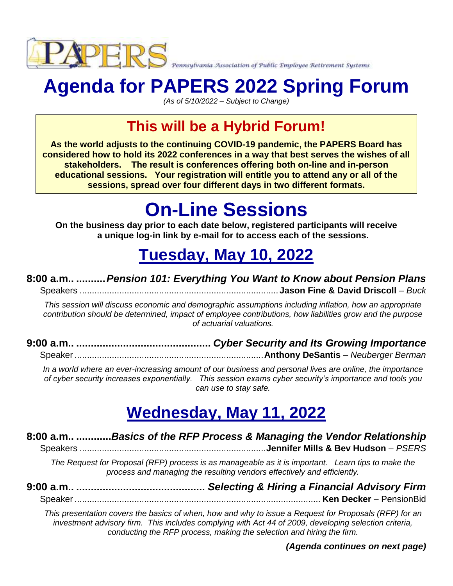

# **Agenda for PAPERS 2022 Spring Forum**

*(As of 5/10/2022 – Subject to Change)*

### **This will be a Hybrid Forum!**

**As the world adjusts to the continuing COVID-19 pandemic, the PAPERS Board has considered how to hold its 2022 conferences in a way that best serves the wishes of all stakeholders. The result is conferences offering both on-line and in-person educational sessions. Your registration will entitle you to attend any or all of the sessions, spread over four different days in two different formats.** 

# **On-Line Sessions**

**On the business day prior to each date below, registered participants will receive a unique log-in link by e-mail for to access each of the sessions.**

### **Tuesday, May 10, 2022**

#### **8:00 a.m.. ..........***Pension 101: Everything You Want to Know about Pension Plans*

Speakers ................................................................................**Jason Fine & David Driscoll** – *Buck*

*This session will discuss economic and demographic assumptions including inflation, how an appropriate contribution should be determined, impact of employee contributions, how liabilities grow and the purpose of actuarial valuations.*

**9:00 a.m.. ..............................................** *Cyber Security and Its Growing Importance* Speaker ............................................................................**Anthony DeSantis** – *Neuberger Berman*

*In a world where an ever-increasing amount of our business and personal lives are online, the importance of cyber security increases exponentially. This session exams cyber security's importance and tools you can use to stay safe.*

### **Wednesday, May 11, 2022**

#### **8:00 a.m.. ............***Basics of the RFP Process & Managing the Vendor Relationship* Speakers ...........................................................................**Jennifer Mills & Bev Hudson** – *PSERS*

*The Request for Proposal (RFP) process is as manageable as it is important. Learn tips to make the process and managing the resulting vendors effectively and efficiently.* 

**9:00 a.m.. ............................................** *Selecting & Hiring a Financial Advisory Firm* Speaker ................................................................................................... **Ken Decker** – PensionBid

*This presentation covers the basics of when, how and why to issue a Request for Proposals (RFP) for an investment advisory firm. This includes complying with Act 44 of 2009, developing selection criteria, conducting the RFP process, making the selection and hiring the firm.*

#### *(Agenda continues on next page)*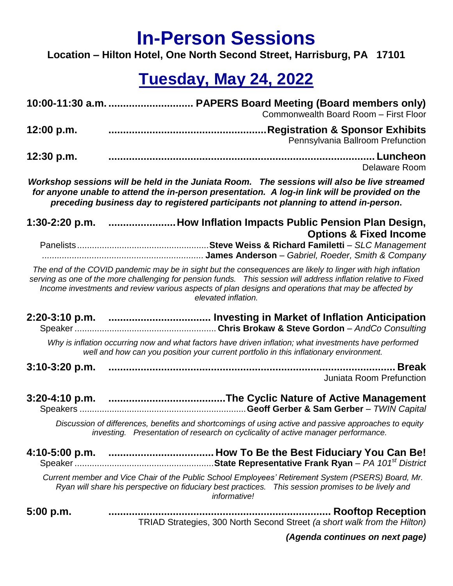### **In-Person Sessions**

**Location – Hilton Hotel, One North Second Street, Harrisburg, PA 17101**

### **Tuesday, May 24, 2022**

|                                                                                                                                                                                                                                                                                     | Commonwealth Board Room - First Floor                                                                                                                                                                                                                                                                                                                          |  |
|-------------------------------------------------------------------------------------------------------------------------------------------------------------------------------------------------------------------------------------------------------------------------------------|----------------------------------------------------------------------------------------------------------------------------------------------------------------------------------------------------------------------------------------------------------------------------------------------------------------------------------------------------------------|--|
| 12:00 p.m.                                                                                                                                                                                                                                                                          | <b>Registration &amp; Sponsor Exhibits</b><br>Pennsylvania Ballroom Prefunction                                                                                                                                                                                                                                                                                |  |
| 12:30 p.m.                                                                                                                                                                                                                                                                          | Delaware Room                                                                                                                                                                                                                                                                                                                                                  |  |
| Workshop sessions will be held in the Juniata Room. The sessions will also be live streamed<br>for anyone unable to attend the in-person presentation. A log-in link will be provided on the<br>preceding business day to registered participants not planning to attend in-person. |                                                                                                                                                                                                                                                                                                                                                                |  |
|                                                                                                                                                                                                                                                                                     | 1:30-2:20 p.m. How Inflation Impacts Public Pension Plan Design,                                                                                                                                                                                                                                                                                               |  |
|                                                                                                                                                                                                                                                                                     | <b>Options &amp; Fixed Income</b>                                                                                                                                                                                                                                                                                                                              |  |
|                                                                                                                                                                                                                                                                                     | The end of the COVID pandemic may be in sight but the consequences are likely to linger with high inflation<br>serving as one of the more challenging for pension funds.  This session will address inflation relative to Fixed<br>Income investments and review various aspects of plan designs and operations that may be affected by<br>elevated inflation. |  |
|                                                                                                                                                                                                                                                                                     |                                                                                                                                                                                                                                                                                                                                                                |  |
|                                                                                                                                                                                                                                                                                     | Why is inflation occurring now and what factors have driven inflation; what investments have performed<br>well and how can you position your current portfolio in this inflationary environment.                                                                                                                                                               |  |
| $3:10-3:20$ p.m.                                                                                                                                                                                                                                                                    | <b>Break</b><br>Juniata Room Prefunction                                                                                                                                                                                                                                                                                                                       |  |
|                                                                                                                                                                                                                                                                                     |                                                                                                                                                                                                                                                                                                                                                                |  |
|                                                                                                                                                                                                                                                                                     | Discussion of differences, benefits and shortcomings of using active and passive approaches to equity<br>investing. Presentation of research on cyclicality of active manager performance.                                                                                                                                                                     |  |
|                                                                                                                                                                                                                                                                                     |                                                                                                                                                                                                                                                                                                                                                                |  |
|                                                                                                                                                                                                                                                                                     | Current member and Vice Chair of the Public School Employees' Retirement System (PSERS) Board, Mr.<br>Ryan will share his perspective on fiduciary best practices. This session promises to be lively and<br>informative!                                                                                                                                      |  |
| 5:00 p.m.                                                                                                                                                                                                                                                                           | TRIAD Strategies, 300 North Second Street (a short walk from the Hilton)                                                                                                                                                                                                                                                                                       |  |

*(Agenda continues on next page)*